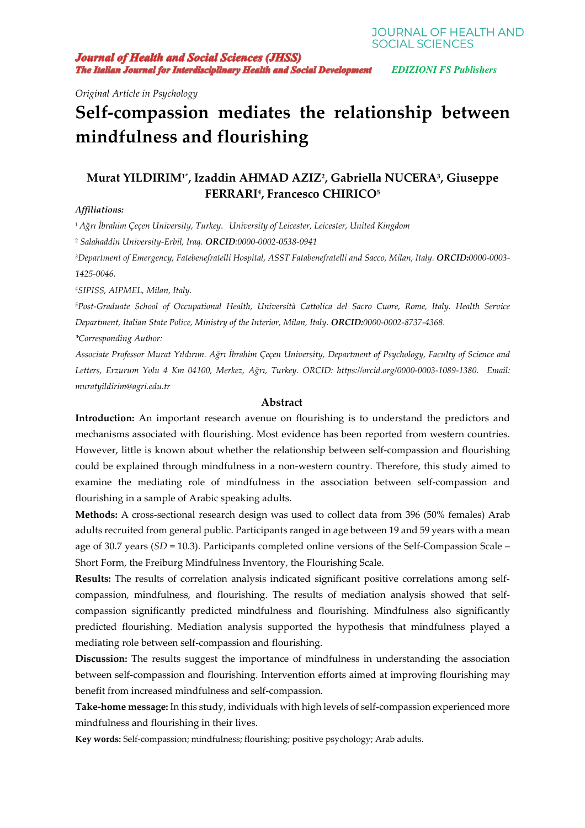*Original Article in Psychology* 

# **Self-compassion mediates the relationship between mindfulness and flourishing**

# **Murat YILDIRIM1\*, Izaddin AHMAD AZIZ<sup>2</sup> , Gabriella NUCERA<sup>3</sup> , Giuseppe FERRARI<sup>4</sup> , Francesco CHIRICO<sup>5</sup>**

# *Affiliations:*

<sup>1</sup> *Ağrı İbrahim Çeçen University, Turkey. University of Leicester, Leicester, United Kingdom* 

<sup>2</sup> *Salahaddin University-Erbil, Iraq. ORCID:0000-0002-0538-0941* 

*<sup>3</sup>Department of Emergency, Fatebenefratelli Hospital, ASST Fatabenefratelli and Sacco, Milan, Italy. ORCID:0000-0003- 1425-0046.* 

*<sup>4</sup>SIPISS, AIPMEL, Milan, Italy.* 

*<sup>5</sup>Post-Graduate School of Occupational Health, Università Cattolica del Sacro Cuore, Rome, Italy. Health Service Department, Italian State Police, Ministry of the Interior, Milan, Italy. ORCID:0000-0002-8737-4368.*

*\*Corresponding Author:* 

*Associate Professor Murat Yıldırım. Ağrı İbrahim Çeçen University, Department of Psychology, Faculty of Science and Letters, Erzurum Yolu 4 Km 04100, Merkez, Ağrı, Turkey. ORCID: https://orcid.org/0000-0003-1089-1380. Email: muratyildirim@agri.edu.tr*

# **Abstract**

**Introduction:** An important research avenue on flourishing is to understand the predictors and mechanisms associated with flourishing. Most evidence has been reported from western countries. However, little is known about whether the relationship between self-compassion and flourishing could be explained through mindfulness in a non-western country. Therefore, this study aimed to examine the mediating role of mindfulness in the association between self-compassion and flourishing in a sample of Arabic speaking adults.

**Methods:** A cross-sectional research design was used to collect data from 396 (50% females) Arab adults recruited from general public. Participants ranged in age between 19 and 59 years with a mean age of 30.7 years (*SD* = 10.3). Participants completed online versions of the Self-Compassion Scale – Short Form, the Freiburg Mindfulness Inventory, the Flourishing Scale.

**Results:** The results of correlation analysis indicated significant positive correlations among selfcompassion, mindfulness, and flourishing. The results of mediation analysis showed that selfcompassion significantly predicted mindfulness and flourishing. Mindfulness also significantly predicted flourishing. Mediation analysis supported the hypothesis that mindfulness played a mediating role between self-compassion and flourishing.

**Discussion:** The results suggest the importance of mindfulness in understanding the association between self-compassion and flourishing. Intervention efforts aimed at improving flourishing may benefit from increased mindfulness and self-compassion.

**Take-home message:** In this study, individuals with high levels of self-compassion experienced more mindfulness and flourishing in their lives.

**Key words:** Self-compassion; mindfulness; flourishing; positive psychology; Arab adults.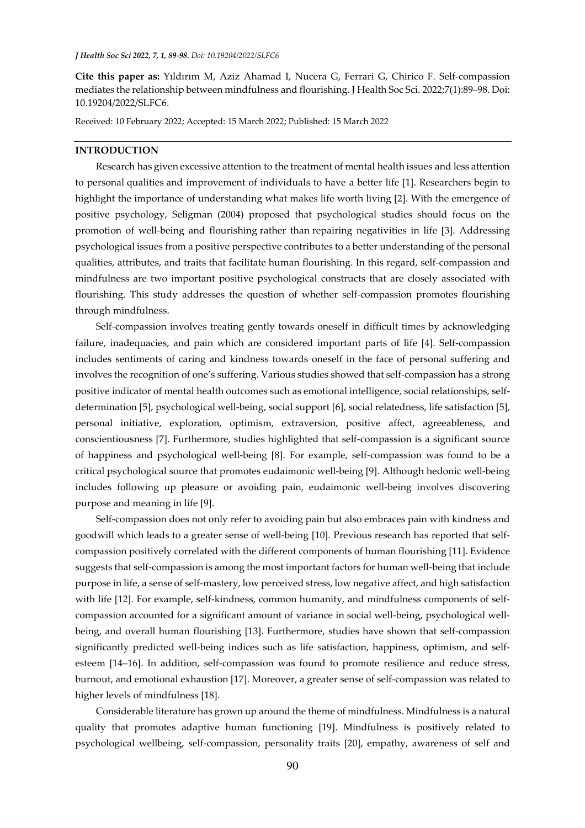**Cite this paper as:** Yıldırım M, Aziz Ahamad I, Nucera G, Ferrari G, Chirico F. Self-compassion mediates the relationship between mindfulness and flourishing. J Health Soc Sci. 2022;7(1):89–98. Doi: 10.19204/2022/SLFC6.

Received: 10 February 2022; Accepted: 15 March 2022; Published: 15 March 2022

#### **INTRODUCTION**

Research has given excessive attention to the treatment of mental health issues and less attention to personal qualities and improvement of individuals to have a better life [1]. Researchers begin to highlight the importance of understanding what makes life worth living [2]. With the emergence of positive psychology, Seligman (2004) proposed that psychological studies should focus on the promotion of well-being and flourishing rather than repairing negativities in life [3]. Addressing psychological issues from a positive perspective contributes to a better understanding of the personal qualities, attributes, and traits that facilitate human flourishing. In this regard, self-compassion and mindfulness are two important positive psychological constructs that are closely associated with flourishing. This study addresses the question of whether self-compassion promotes flourishing through mindfulness.

Self-compassion involves treating gently towards oneself in difficult times by acknowledging failure, inadequacies, and pain which are considered important parts of life [4]. Self-compassion includes sentiments of caring and kindness towards oneself in the face of personal suffering and involves the recognition of one's suffering. Various studies showed that self-compassion has a strong positive indicator of mental health outcomes such as emotional intelligence, social relationships, selfdetermination [5], psychological well-being, social support [6], social relatedness, life satisfaction [5], personal initiative, exploration, optimism, extraversion, positive affect, agreeableness, and conscientiousness [7]. Furthermore, studies highlighted that self-compassion is a significant source of happiness and psychological well-being [8]. For example, self-compassion was found to be a critical psychological source that promotes eudaimonic well-being [9]. Although hedonic well-being includes following up pleasure or avoiding pain, eudaimonic well-being involves discovering purpose and meaning in life [9].

Self-compassion does not only refer to avoiding pain but also embraces pain with kindness and goodwill which leads to a greater sense of well-being [10]. Previous research has reported that selfcompassion positively correlated with the different components of human flourishing [11]. Evidence suggests that self-compassion is among the most important factors for human well-being that include purpose in life, a sense of self-mastery, low perceived stress, low negative affect, and high satisfaction with life [12]. For example, self-kindness, common humanity, and mindfulness components of selfcompassion accounted for a significant amount of variance in social well-being, psychological wellbeing, and overall human flourishing [13]. Furthermore, studies have shown that self-compassion significantly predicted well-being indices such as life satisfaction, happiness, optimism, and selfesteem [14–16]. In addition, self-compassion was found to promote resilience and reduce stress, burnout, and emotional exhaustion [17]. Moreover, a greater sense of self-compassion was related to higher levels of mindfulness [18].

Considerable literature has grown up around the theme of mindfulness. Mindfulness is a natural quality that promotes adaptive human functioning [19]. Mindfulness is positively related to psychological wellbeing, self-compassion, personality traits [20], empathy, awareness of self and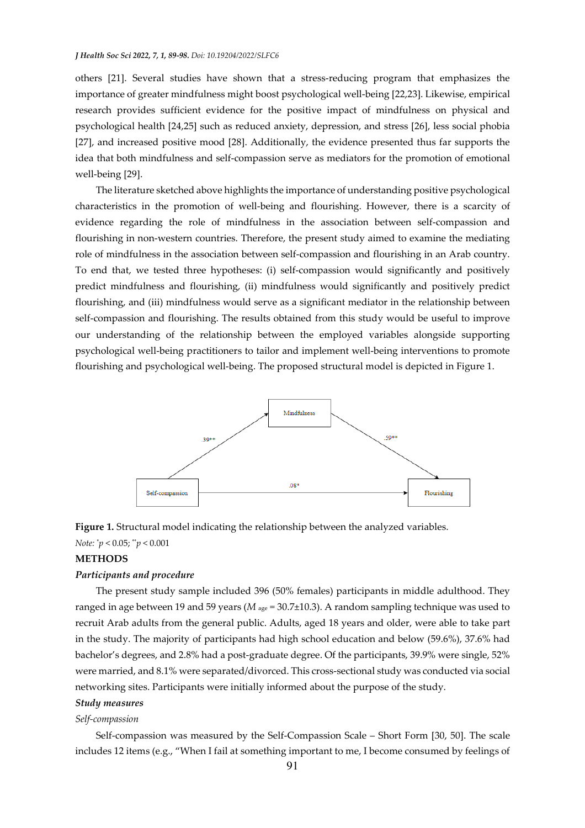others [21]. Several studies have shown that a stress-reducing program that emphasizes the importance of greater mindfulness might boost psychological well-being [22,23]. Likewise, empirical research provides sufficient evidence for the positive impact of mindfulness on physical and psychological health [24,25] such as reduced anxiety, depression, and stress [26], less social phobia [27], and increased positive mood [28]. Additionally, the evidence presented thus far supports the idea that both mindfulness and self-compassion serve as mediators for the promotion of emotional well-being [29].

The literature sketched above highlights the importance of understanding positive psychological characteristics in the promotion of well-being and flourishing. However, there is a scarcity of evidence regarding the role of mindfulness in the association between self-compassion and flourishing in non-western countries. Therefore, the present study aimed to examine the mediating role of mindfulness in the association between self-compassion and flourishing in an Arab country. To end that, we tested three hypotheses: (i) self-compassion would significantly and positively predict mindfulness and flourishing, (ii) mindfulness would significantly and positively predict flourishing, and (iii) mindfulness would serve as a significant mediator in the relationship between self-compassion and flourishing. The results obtained from this study would be useful to improve our understanding of the relationship between the employed variables alongside supporting psychological well-being practitioners to tailor and implement well-being interventions to promote flourishing and psychological well-being. The proposed structural model is depicted in Figure 1.





# *Note:* \**p* < 0.05; \*\**p* < 0.001

# **METHODS**

#### *Participants and procedure*

The present study sample included 396 (50% females) participants in middle adulthood. They ranged in age between 19 and 59 years (*M* age *=* 30.7±10.3). A random sampling technique was used to recruit Arab adults from the general public. Adults, aged 18 years and older, were able to take part in the study. The majority of participants had high school education and below (59.6%), 37.6% had bachelor's degrees, and 2.8% had a post-graduate degree. Of the participants, 39.9% were single, 52% were married, and 8.1% were separated/divorced. This cross-sectional study was conducted via social networking sites. Participants were initially informed about the purpose of the study.

### *Study measures*

#### *Self-compassion*

Self-compassion was measured by the Self-Compassion Scale – Short Form [30, 50]. The scale includes 12 items (e.g., "When I fail at something important to me, I become consumed by feelings of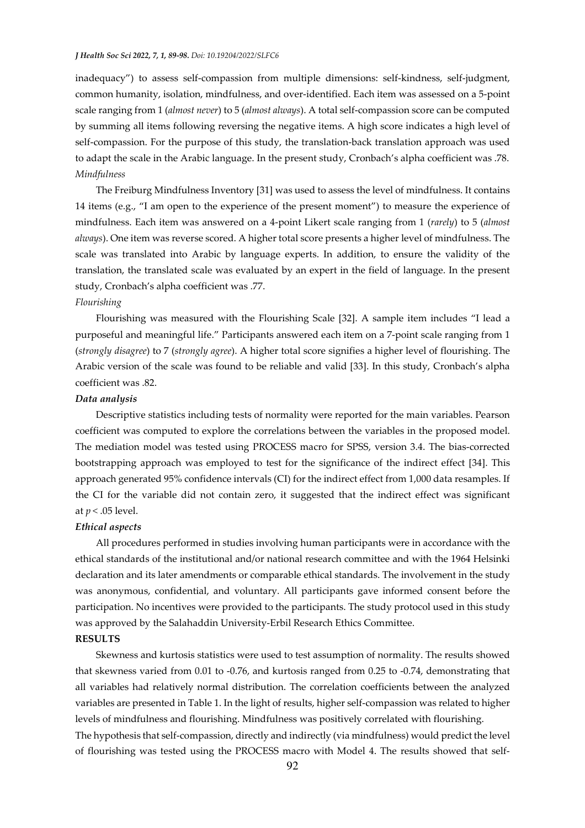inadequacy") to assess self-compassion from multiple dimensions: self-kindness, self-judgment, common humanity, isolation, mindfulness, and over-identified. Each item was assessed on a 5-point scale ranging from 1 (*almost never*) to 5 (*almost always*). A total self-compassion score can be computed by summing all items following reversing the negative items. A high score indicates a high level of self-compassion. For the purpose of this study, the translation-back translation approach was used to adapt the scale in the Arabic language. In the present study, Cronbach's alpha coefficient was .78. *Mindfulness* 

The Freiburg Mindfulness Inventory [31] was used to assess the level of mindfulness. It contains 14 items (e.g., "I am open to the experience of the present moment") to measure the experience of mindfulness. Each item was answered on a 4-point Likert scale ranging from 1 (*rarely*) to 5 (*almost always*). One item was reverse scored. A higher total score presents a higher level of mindfulness. The scale was translated into Arabic by language experts. In addition, to ensure the validity of the translation, the translated scale was evaluated by an expert in the field of language. In the present study, Cronbach's alpha coefficient was .77.

#### *Flourishing*

Flourishing was measured with the Flourishing Scale [32]. A sample item includes "I lead a purposeful and meaningful life." Participants answered each item on a 7-point scale ranging from 1 (*strongly disagree*) to 7 (*strongly agree*). A higher total score signifies a higher level of flourishing. The Arabic version of the scale was found to be reliable and valid [33]. In this study, Cronbach's alpha coefficient was .82.

#### *Data analysis*

Descriptive statistics including tests of normality were reported for the main variables. Pearson coefficient was computed to explore the correlations between the variables in the proposed model. The mediation model was tested using PROCESS macro for SPSS, version 3.4. The bias-corrected bootstrapping approach was employed to test for the significance of the indirect effect [34]. This approach generated 95% confidence intervals (CI) for the indirect effect from 1,000 data resamples. If the CI for the variable did not contain zero, it suggested that the indirect effect was significant at *p <* .05 level.

#### *Ethical aspects*

All procedures performed in studies involving human participants were in accordance with the ethical standards of the institutional and/or national research committee and with the 1964 Helsinki declaration and its later amendments or comparable ethical standards. The involvement in the study was anonymous, confidential, and voluntary. All participants gave informed consent before the participation. No incentives were provided to the participants. The study protocol used in this study was approved by the Salahaddin University-Erbil Research Ethics Committee.

# **RESULTS**

Skewness and kurtosis statistics were used to test assumption of normality. The results showed that skewness varied from 0.01 to -0.76, and kurtosis ranged from 0.25 to -0.74, demonstrating that all variables had relatively normal distribution. The correlation coefficients between the analyzed variables are presented in Table 1. In the light of results, higher self-compassion was related to higher levels of mindfulness and flourishing. Mindfulness was positively correlated with flourishing.

The hypothesis that self-compassion, directly and indirectly (via mindfulness) would predict the level of flourishing was tested using the PROCESS macro with Model 4. The results showed that self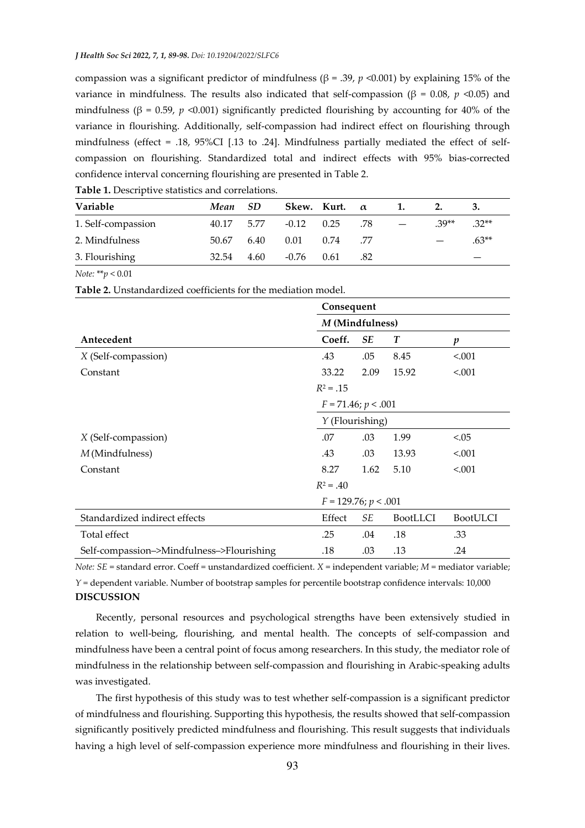compassion was a significant predictor of mindfulness ( $β = .39$ ,  $p < 0.001$ ) by explaining 15% of the variance in mindfulness. The results also indicated that self-compassion (β = 0.08, *p* <0.05) and mindfulness ( $\beta$  = 0.59, *p* <0.001) significantly predicted flourishing by accounting for 40% of the variance in flourishing. Additionally, self-compassion had indirect effect on flourishing through mindfulness (effect = .18, 95%CI [.13 to .24]. Mindfulness partially mediated the effect of selfcompassion on flourishing. Standardized total and indirect effects with 95% bias-corrected confidence interval concerning flourishing are presented in Table 2.

| Variable           | Mean SD    |      |              | Skew. Kurt. $\alpha$ |      |                          |         |  |
|--------------------|------------|------|--------------|----------------------|------|--------------------------|---------|--|
| 1. Self-compassion | 40.17 5.77 |      | $-0.12$ 0.25 |                      | .78  | $.39**$                  | $.32**$ |  |
| 2. Mindfulness     | 50.67      | 6.40 | 0.01         | 0.74                 | - 77 | $\overline{\phantom{0}}$ | $.63**$ |  |
| 3. Flourishing     | 32.54      | 4.60 | $-0.76$ 0.61 |                      | .82  |                          |         |  |

**Table 1.** Descriptive statistics and correlations.

*Note:* \*\**p* < 0.01

**Table 2.** Unstandardized coefficients for the mediation model.

|                                           | Consequent<br>M (Mindfulness) |           |                  |                  |  |  |  |
|-------------------------------------------|-------------------------------|-----------|------------------|------------------|--|--|--|
|                                           |                               |           |                  |                  |  |  |  |
| Antecedent                                | Coeff.                        | <b>SE</b> | $\boldsymbol{T}$ | $\boldsymbol{p}$ |  |  |  |
| X (Self-compassion)                       | .43                           | .05       | 8.45             | < .001           |  |  |  |
| Constant                                  | 33.22                         | 2.09      | 15.92            | < .001           |  |  |  |
|                                           | $R^2 = .15$                   |           |                  |                  |  |  |  |
|                                           | $F = 71.46; p < .001$         |           |                  |                  |  |  |  |
|                                           | Y (Flourishing)               |           |                  |                  |  |  |  |
| X (Self-compassion)                       | .07                           | .03       | 1.99             | < 0.05           |  |  |  |
| M (Mindfulness)                           | .43                           | .03       | 13.93            | < 0.001          |  |  |  |
| Constant                                  | 8.27                          | 1.62      | 5.10             | < 0.001          |  |  |  |
|                                           | $R^2 = .40$                   |           |                  |                  |  |  |  |
|                                           | $F = 129.76; p < .001$        |           |                  |                  |  |  |  |
| Standardized indirect effects             | Effect                        | SЕ        | <b>BootLLCI</b>  | <b>BootULCI</b>  |  |  |  |
| Total effect                              | .25                           | .04       | .18              | .33              |  |  |  |
| Self-compassion->Mindfulness->Flourishing | .18                           | .03       | .13              | .24              |  |  |  |

*Note: SE* = standard error. Coeff = unstandardized coefficient. *X* = independent variable; *M* = mediator variable;

*Y* = dependent variable. Number of bootstrap samples for percentile bootstrap confidence intervals: 10,000 **DISCUSSION** 

Recently, personal resources and psychological strengths have been extensively studied in relation to well-being, flourishing, and mental health. The concepts of self-compassion and mindfulness have been a central point of focus among researchers. In this study, the mediator role of mindfulness in the relationship between self-compassion and flourishing in Arabic-speaking adults was investigated.

The first hypothesis of this study was to test whether self-compassion is a significant predictor of mindfulness and flourishing. Supporting this hypothesis, the results showed that self-compassion significantly positively predicted mindfulness and flourishing. This result suggests that individuals having a high level of self-compassion experience more mindfulness and flourishing in their lives.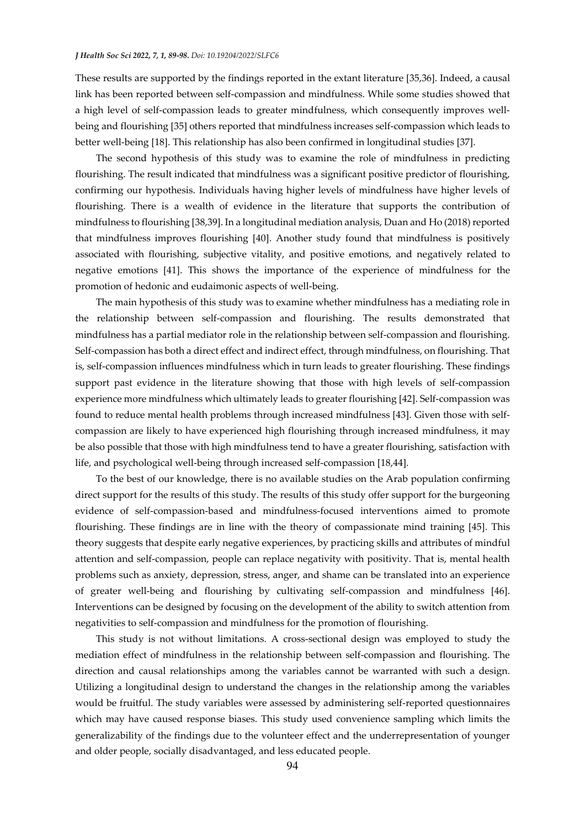These results are supported by the findings reported in the extant literature [35,36]. Indeed, a causal link has been reported between self-compassion and mindfulness. While some studies showed that a high level of self-compassion leads to greater mindfulness, which consequently improves wellbeing and flourishing [35] others reported that mindfulness increases self-compassion which leads to better well-being [18]. This relationship has also been confirmed in longitudinal studies [37].

The second hypothesis of this study was to examine the role of mindfulness in predicting flourishing. The result indicated that mindfulness was a significant positive predictor of flourishing, confirming our hypothesis. Individuals having higher levels of mindfulness have higher levels of flourishing. There is a wealth of evidence in the literature that supports the contribution of mindfulness to flourishing [38,39]. In a longitudinal mediation analysis, Duan and Ho (2018) reported that mindfulness improves flourishing [40]. Another study found that mindfulness is positively associated with flourishing, subjective vitality, and positive emotions, and negatively related to negative emotions [41]. This shows the importance of the experience of mindfulness for the promotion of hedonic and eudaimonic aspects of well-being.

The main hypothesis of this study was to examine whether mindfulness has a mediating role in the relationship between self-compassion and flourishing. The results demonstrated that mindfulness has a partial mediator role in the relationship between self-compassion and flourishing. Self-compassion has both a direct effect and indirect effect, through mindfulness, on flourishing. That is, self-compassion influences mindfulness which in turn leads to greater flourishing. These findings support past evidence in the literature showing that those with high levels of self-compassion experience more mindfulness which ultimately leads to greater flourishing [42]. Self-compassion was found to reduce mental health problems through increased mindfulness [43]. Given those with selfcompassion are likely to have experienced high flourishing through increased mindfulness, it may be also possible that those with high mindfulness tend to have a greater flourishing, satisfaction with life, and psychological well-being through increased self-compassion [18,44].

To the best of our knowledge, there is no available studies on the Arab population confirming direct support for the results of this study. The results of this study offer support for the burgeoning evidence of self-compassion-based and mindfulness-focused interventions aimed to promote flourishing. These findings are in line with the theory of compassionate mind training [45]. This theory suggests that despite early negative experiences, by practicing skills and attributes of mindful attention and self-compassion, people can replace negativity with positivity. That is, mental health problems such as anxiety, depression, stress, anger, and shame can be translated into an experience of greater well-being and flourishing by cultivating self-compassion and mindfulness [46]. Interventions can be designed by focusing on the development of the ability to switch attention from negativities to self-compassion and mindfulness for the promotion of flourishing.

This study is not without limitations. A cross-sectional design was employed to study the mediation effect of mindfulness in the relationship between self-compassion and flourishing. The direction and causal relationships among the variables cannot be warranted with such a design. Utilizing a longitudinal design to understand the changes in the relationship among the variables would be fruitful. The study variables were assessed by administering self-reported questionnaires which may have caused response biases. This study used convenience sampling which limits the generalizability of the findings due to the volunteer effect and the underrepresentation of younger and older people, socially disadvantaged, and less educated people.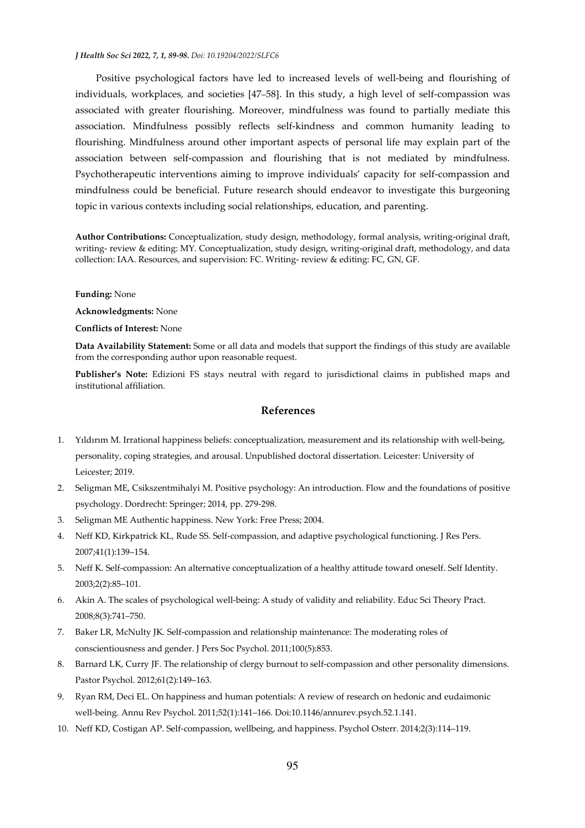Positive psychological factors have led to increased levels of well-being and flourishing of individuals, workplaces, and societies [47–58]. In this study, a high level of self-compassion was associated with greater flourishing. Moreover, mindfulness was found to partially mediate this association. Mindfulness possibly reflects self-kindness and common humanity leading to flourishing. Mindfulness around other important aspects of personal life may explain part of the association between self-compassion and flourishing that is not mediated by mindfulness. Psychotherapeutic interventions aiming to improve individuals' capacity for self-compassion and mindfulness could be beneficial. Future research should endeavor to investigate this burgeoning topic in various contexts including social relationships, education, and parenting.

**Author Contributions:** Conceptualization, study design, methodology, formal analysis, writing-original draft, writing- review & editing: MY. Conceptualization, study design, writing-original draft, methodology, and data collection: IAA. Resources, and supervision: FC. Writing- review & editing: FC, GN, GF.

#### **Funding:** None

**Acknowledgments:** None

**Conflicts of Interest:** None

**Data Availability Statement:** Some or all data and models that support the findings of this study are available from the corresponding author upon reasonable request.

**Publisher's Note:** Edizioni FS stays neutral with regard to jurisdictional claims in published maps and institutional affiliation.

# **References**

- 1. Yıldırım M. Irrational happiness beliefs: conceptualization, measurement and its relationship with well-being, personality, coping strategies, and arousal. Unpublished doctoral dissertation. Leicester: University of Leicester; 2019.
- 2. Seligman ME, Csikszentmihalyi M. Positive psychology: An introduction. Flow and the foundations of positive psychology. Dordrecht: Springer; 2014, pp. 279-298.
- 3. Seligman ME Authentic happiness. New York: Free Press; 2004.
- 4. Neff KD, Kirkpatrick KL, Rude SS. Self-compassion, and adaptive psychological functioning. J Res Pers. 2007;41(1):139–154.
- 5. Neff K. Self-compassion: An alternative conceptualization of a healthy attitude toward oneself. Self Identity. 2003;2(2):85–101.
- 6. Akin A. The scales of psychological well-being: A study of validity and reliability. Educ Sci Theory Pract. 2008;8(3):741–750.
- 7. Baker LR, McNulty JK. Self-compassion and relationship maintenance: The moderating roles of conscientiousness and gender. J Pers Soc Psychol. 2011;100(5):853.
- 8. Barnard LK, Curry JF. The relationship of clergy burnout to self-compassion and other personality dimensions. Pastor Psychol. 2012;61(2):149–163.
- 9. Ryan RM, Deci EL. On happiness and human potentials: A review of research on hedonic and eudaimonic well-being. Annu Rev Psychol. 2011;52(1):141–166. Doi:10.1146/annurev.psych.52.1.141.
- 10. Neff KD, Costigan AP. Self-compassion, wellbeing, and happiness. Psychol Osterr. 2014;2(3):114–119.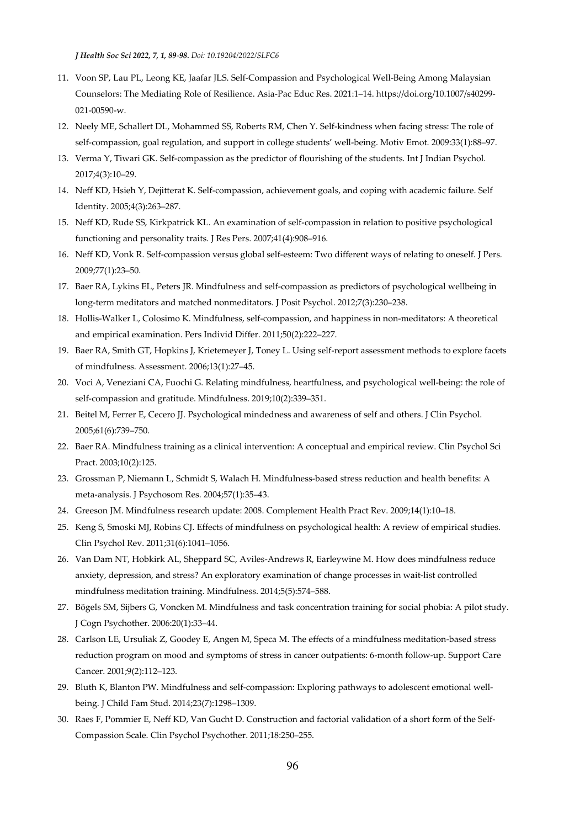*J Health Soc Sci 2022, 7, 1, 89-98. Doi: 10.19204/2022/SLFC6* 

- 11. Voon SP, Lau PL, Leong KE, Jaafar JLS. Self-Compassion and Psychological Well-Being Among Malaysian Counselors: The Mediating Role of Resilience. Asia-Pac Educ Res. 2021:1–14. https://doi.org/10.1007/s40299- 021-00590-w.
- 12. Neely ME, Schallert DL, Mohammed SS, Roberts RM, Chen Y. Self-kindness when facing stress: The role of self-compassion, goal regulation, and support in college students' well-being. Motiv Emot. 2009:33(1):88–97.
- 13. Verma Y, Tiwari GK. Self-compassion as the predictor of flourishing of the students. Int J Indian Psychol. 2017;4(3):10–29.
- 14. Neff KD, Hsieh Y, Dejitterat K. Self-compassion, achievement goals, and coping with academic failure. Self Identity. 2005;4(3):263–287.
- 15. Neff KD, Rude SS, Kirkpatrick KL. An examination of self-compassion in relation to positive psychological functioning and personality traits. J Res Pers. 2007;41(4):908–916.
- 16. Neff KD, Vonk R. Self-compassion versus global self-esteem: Two different ways of relating to oneself. J Pers. 2009;77(1):23–50.
- 17. Baer RA, Lykins EL, Peters JR. Mindfulness and self-compassion as predictors of psychological wellbeing in long-term meditators and matched nonmeditators. J Posit Psychol. 2012;7(3):230–238.
- 18. Hollis-Walker L, Colosimo K. Mindfulness, self-compassion, and happiness in non-meditators: A theoretical and empirical examination. Pers Individ Differ. 2011;50(2):222–227.
- 19. Baer RA, Smith GT, Hopkins J, Krietemeyer J, Toney L. Using self-report assessment methods to explore facets of mindfulness. Assessment. 2006;13(1):27–45.
- 20. Voci A, Veneziani CA, Fuochi G. Relating mindfulness, heartfulness, and psychological well-being: the role of self-compassion and gratitude. Mindfulness. 2019;10(2):339–351.
- 21. Beitel M, Ferrer E, Cecero JJ. Psychological mindedness and awareness of self and others. J Clin Psychol. 2005;61(6):739–750.
- 22. Baer RA. Mindfulness training as a clinical intervention: A conceptual and empirical review. Clin Psychol Sci Pract. 2003;10(2):125.
- 23. Grossman P, Niemann L, Schmidt S, Walach H. Mindfulness-based stress reduction and health benefits: A meta-analysis. J Psychosom Res. 2004;57(1):35–43.
- 24. Greeson JM. Mindfulness research update: 2008. Complement Health Pract Rev. 2009;14(1):10–18.
- 25. Keng S, Smoski MJ, Robins CJ. Effects of mindfulness on psychological health: A review of empirical studies. Clin Psychol Rev. 2011;31(6):1041–1056.
- 26. Van Dam NT, Hobkirk AL, Sheppard SC, Aviles-Andrews R, Earleywine M. How does mindfulness reduce anxiety, depression, and stress? An exploratory examination of change processes in wait-list controlled mindfulness meditation training. Mindfulness. 2014;5(5):574–588.
- 27. Bögels SM, Sijbers G, Voncken M. Mindfulness and task concentration training for social phobia: A pilot study. J Cogn Psychother. 2006:20(1):33–44.
- 28. Carlson LE, Ursuliak Z, Goodey E, Angen M, Speca M. The effects of a mindfulness meditation-based stress reduction program on mood and symptoms of stress in cancer outpatients: 6-month follow-up. Support Care Cancer. 2001;9(2):112–123.
- 29. Bluth K, Blanton PW. Mindfulness and self-compassion: Exploring pathways to adolescent emotional wellbeing. J Child Fam Stud. 2014;23(7):1298–1309.
- 30. Raes F, Pommier E, Neff KD, Van Gucht D. Construction and factorial validation of a short form of the Self-Compassion Scale. Clin Psychol Psychother. 2011;18:250–255.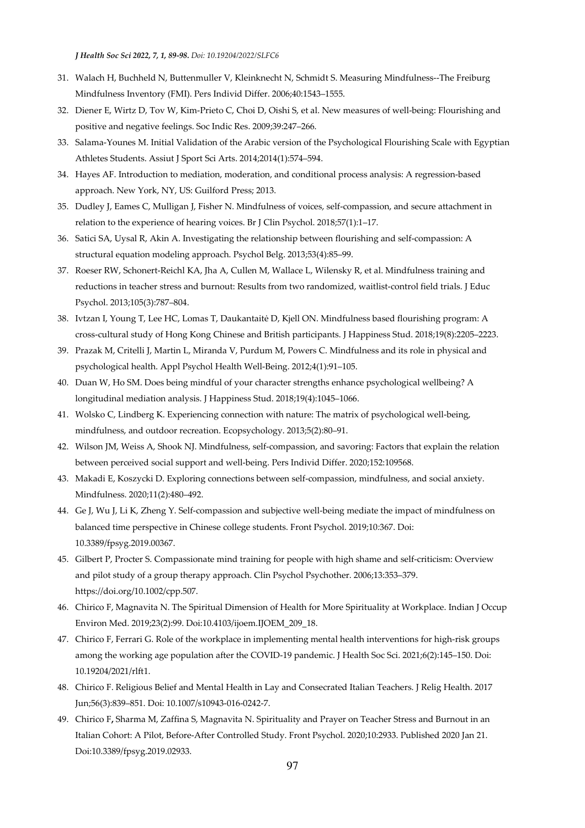*J Health Soc Sci 2022, 7, 1, 89-98. Doi: 10.19204/2022/SLFC6* 

- 31. Walach H, Buchheld N, Buttenmuller V, Kleinknecht N, Schmidt S. Measuring Mindfulness--The Freiburg Mindfulness Inventory (FMI). Pers Individ Differ. 2006;40:1543–1555.
- 32. Diener E, Wirtz D, Tov W, Kim-Prieto C, Choi D, Oishi S, et al. New measures of well-being: Flourishing and positive and negative feelings. Soc Indic Res. 2009;39:247–266.
- 33. Salama-Younes M. Initial Validation of the Arabic version of the Psychological Flourishing Scale with Egyptian Athletes Students. Assiut J Sport Sci Arts. 2014;2014(1):574–594.
- 34. Hayes AF. Introduction to mediation, moderation, and conditional process analysis: A regression-based approach. New York, NY, US: Guilford Press; 2013.
- 35. Dudley J, Eames C, Mulligan J, Fisher N. Mindfulness of voices, self-compassion, and secure attachment in relation to the experience of hearing voices. Br J Clin Psychol. 2018;57(1):1–17.
- 36. Satici SA, Uysal R, Akin A. Investigating the relationship between flourishing and self-compassion: A structural equation modeling approach. Psychol Belg. 2013;53(4):85–99.
- 37. Roeser RW, Schonert-Reichl KA, Jha A, Cullen M, Wallace L, Wilensky R, et al. Mindfulness training and reductions in teacher stress and burnout: Results from two randomized, waitlist-control field trials. J Educ Psychol. 2013;105(3):787–804.
- 38. Ivtzan I, Young T, Lee HC, Lomas T, Daukantaitė D, Kjell ON. Mindfulness based flourishing program: A cross-cultural study of Hong Kong Chinese and British participants. J Happiness Stud. 2018;19(8):2205–2223.
- 39. Prazak M, Critelli J, Martin L, Miranda V, Purdum M, Powers C. Mindfulness and its role in physical and psychological health. Appl Psychol Health Well-Being. 2012;4(1):91–105.
- 40. Duan W, Ho SM. Does being mindful of your character strengths enhance psychological wellbeing? A longitudinal mediation analysis. J Happiness Stud. 2018;19(4):1045–1066.
- 41. Wolsko C, Lindberg K. Experiencing connection with nature: The matrix of psychological well-being, mindfulness, and outdoor recreation. Ecopsychology. 2013;5(2):80–91.
- 42. Wilson JM, Weiss A, Shook NJ. Mindfulness, self-compassion, and savoring: Factors that explain the relation between perceived social support and well-being. Pers Individ Differ. 2020;152:109568.
- 43. Makadi E, Koszycki D. Exploring connections between self-compassion, mindfulness, and social anxiety. Mindfulness. 2020;11(2):480–492.
- 44. Ge J, Wu J, Li K, Zheng Y. Self-compassion and subjective well-being mediate the impact of mindfulness on balanced time perspective in Chinese college students. Front Psychol. 2019;10*:*367. Doi: 10.3389/fpsyg.2019.00367.
- 45. Gilbert P, Procter S. Compassionate mind training for people with high shame and self-criticism: Overview and pilot study of a group therapy approach. Clin Psychol Psychother. 2006;13:353–379. https://doi.org/10.1002/cpp.507.
- 46. Chirico F, Magnavita N. The Spiritual Dimension of Health for More Spirituality at Workplace. Indian J Occup Environ Med. 2019;23(2):99. Doi:10.4103/ijoem.IJOEM\_209\_18.
- 47. Chirico F, Ferrari G. Role of the workplace in implementing mental health interventions for high-risk groups among the working age population after the COVID-19 pandemic. J Health Soc Sci. 2021;6(2):145–150. Doi: 10.19204/2021/rlft1.
- 48. Chirico F. Religious Belief and Mental Health in Lay and Consecrated Italian Teachers. J Relig Health. 2017 Jun;56(3):839–851. Doi: 10.1007/s10943-016-0242-7.
- 49. Chirico F**,** Sharma M, Zaffina S, Magnavita N. Spirituality and Prayer on Teacher Stress and Burnout in an Italian Cohort: A Pilot, Before-After Controlled Study. Front Psychol. 2020;10:2933. Published 2020 Jan 21. Doi:10.3389/fpsyg.2019.02933.